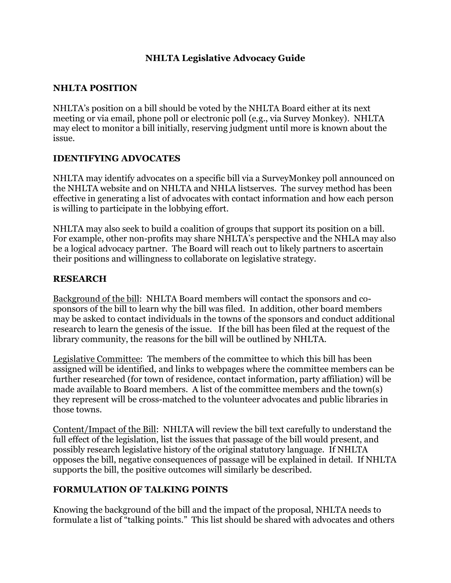### **NHLTA Legislative Advocacy Guide**

### **NHLTA POSITION**

NHLTA's position on a bill should be voted by the NHLTA Board either at its next meeting or via email, phone poll or electronic poll (e.g., via Survey Monkey). NHLTA may elect to monitor a bill initially, reserving judgment until more is known about the issue.

#### **IDENTIFYING ADVOCATES**

NHLTA may identify advocates on a specific bill via a SurveyMonkey poll announced on the NHLTA website and on NHLTA and NHLA listserves. The survey method has been effective in generating a list of advocates with contact information and how each person is willing to participate in the lobbying effort.

NHLTA may also seek to build a coalition of groups that support its position on a bill. For example, other non-profits may share NHLTA's perspective and the NHLA may also be a logical advocacy partner. The Board will reach out to likely partners to ascertain their positions and willingness to collaborate on legislative strategy.

#### **RESEARCH**

Background of the bill: NHLTA Board members will contact the sponsors and cosponsors of the bill to learn why the bill was filed. In addition, other board members may be asked to contact individuals in the towns of the sponsors and conduct additional research to learn the genesis of the issue. If the bill has been filed at the request of the library community, the reasons for the bill will be outlined by NHLTA.

Legislative Committee: The members of the committee to which this bill has been assigned will be identified, and links to webpages where the committee members can be further researched (for town of residence, contact information, party affiliation) will be made available to Board members. A list of the committee members and the town(s) they represent will be cross-matched to the volunteer advocates and public libraries in those towns.

Content/Impact of the Bill: NHLTA will review the bill text carefully to understand the full effect of the legislation, list the issues that passage of the bill would present, and possibly research legislative history of the original statutory language. If NHLTA opposes the bill, negative consequences of passage will be explained in detail. If NHLTA supports the bill, the positive outcomes will similarly be described.

#### **FORMULATION OF TALKING POINTS**

Knowing the background of the bill and the impact of the proposal, NHLTA needs to formulate a list of "talking points." This list should be shared with advocates and others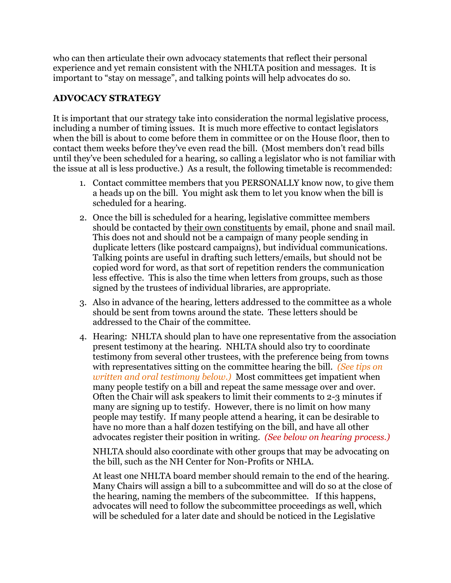who can then articulate their own advocacy statements that reflect their personal experience and yet remain consistent with the NHLTA position and messages. It is important to "stay on message", and talking points will help advocates do so.

## **ADVOCACY STRATEGY**

It is important that our strategy take into consideration the normal legislative process, including a number of timing issues. It is much more effective to contact legislators when the bill is about to come before them in committee or on the House floor, then to contact them weeks before they've even read the bill. (Most members don't read bills until they've been scheduled for a hearing, so calling a legislator who is not familiar with the issue at all is less productive.) As a result, the following timetable is recommended:

- 1. Contact committee members that you PERSONALLY know now, to give them a heads up on the bill. You might ask them to let you know when the bill is scheduled for a hearing.
- 2. Once the bill is scheduled for a hearing, legislative committee members should be contacted by their own constituents by email, phone and snail mail. This does not and should not be a campaign of many people sending in duplicate letters (like postcard campaigns), but individual communications. Talking points are useful in drafting such letters/emails, but should not be copied word for word, as that sort of repetition renders the communication less effective. This is also the time when letters from groups, such as those signed by the trustees of individual libraries, are appropriate.
- 3. Also in advance of the hearing, letters addressed to the committee as a whole should be sent from towns around the state. These letters should be addressed to the Chair of the committee.
- 4. Hearing: NHLTA should plan to have one representative from the association present testimony at the hearing. NHLTA should also try to coordinate testimony from several other trustees, with the preference being from towns with representatives sitting on the committee hearing the bill. *(See tips on written and oral testimony below.)* Most committees get impatient when many people testify on a bill and repeat the same message over and over. Often the Chair will ask speakers to limit their comments to 2-3 minutes if many are signing up to testify. However, there is no limit on how many people may testify. If many people attend a hearing, it can be desirable to have no more than a half dozen testifying on the bill, and have all other advocates register their position in writing. *(See below on hearing process.)*

NHLTA should also coordinate with other groups that may be advocating on the bill, such as the NH Center for Non-Profits or NHLA.

At least one NHLTA board member should remain to the end of the hearing. Many Chairs will assign a bill to a subcommittee and will do so at the close of the hearing, naming the members of the subcommittee. If this happens, advocates will need to follow the subcommittee proceedings as well, which will be scheduled for a later date and should be noticed in the Legislative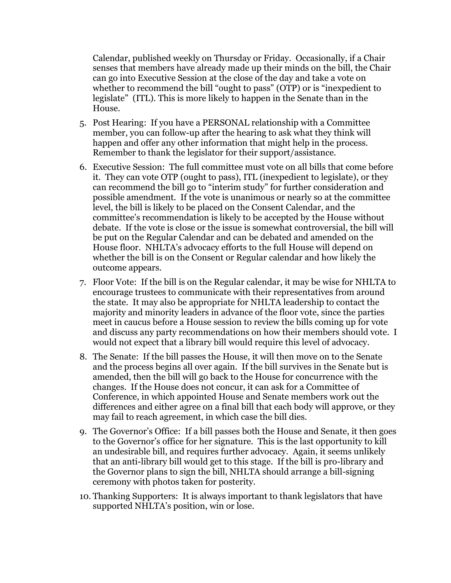Calendar, published weekly on Thursday or Friday. Occasionally, if a Chair senses that members have already made up their minds on the bill, the Chair can go into Executive Session at the close of the day and take a vote on whether to recommend the bill "ought to pass" (OTP) or is "inexpedient to legislate" (ITL). This is more likely to happen in the Senate than in the House.

- 5. Post Hearing: If you have a PERSONAL relationship with a Committee member, you can follow-up after the hearing to ask what they think will happen and offer any other information that might help in the process. Remember to thank the legislator for their support/assistance.
- 6. Executive Session: The full committee must vote on all bills that come before it. They can vote OTP (ought to pass), ITL (inexpedient to legislate), or they can recommend the bill go to "interim study" for further consideration and possible amendment. If the vote is unanimous or nearly so at the committee level, the bill is likely to be placed on the Consent Calendar, and the committee's recommendation is likely to be accepted by the House without debate. If the vote is close or the issue is somewhat controversial, the bill will be put on the Regular Calendar and can be debated and amended on the House floor. NHLTA's advocacy efforts to the full House will depend on whether the bill is on the Consent or Regular calendar and how likely the outcome appears.
- 7. Floor Vote: If the bill is on the Regular calendar, it may be wise for NHLTA to encourage trustees to communicate with their representatives from around the state. It may also be appropriate for NHLTA leadership to contact the majority and minority leaders in advance of the floor vote, since the parties meet in caucus before a House session to review the bills coming up for vote and discuss any party recommendations on how their members should vote. I would not expect that a library bill would require this level of advocacy.
- 8. The Senate: If the bill passes the House, it will then move on to the Senate and the process begins all over again. If the bill survives in the Senate but is amended, then the bill will go back to the House for concurrence with the changes. If the House does not concur, it can ask for a Committee of Conference, in which appointed House and Senate members work out the differences and either agree on a final bill that each body will approve, or they may fail to reach agreement, in which case the bill dies.
- 9. The Governor's Office: If a bill passes both the House and Senate, it then goes to the Governor's office for her signature. This is the last opportunity to kill an undesirable bill, and requires further advocacy. Again, it seems unlikely that an anti-library bill would get to this stage. If the bill is pro-library and the Governor plans to sign the bill, NHLTA should arrange a bill-signing ceremony with photos taken for posterity.
- 10. Thanking Supporters: It is always important to thank legislators that have supported NHLTA's position, win or lose.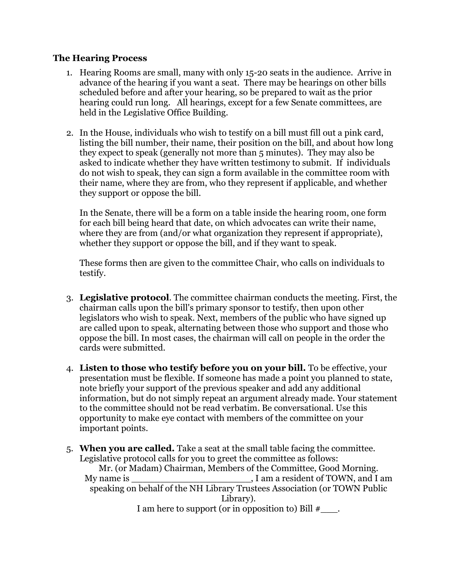#### **The Hearing Process**

- 1. Hearing Rooms are small, many with only 15-20 seats in the audience. Arrive in advance of the hearing if you want a seat. There may be hearings on other bills scheduled before and after your hearing, so be prepared to wait as the prior hearing could run long. All hearings, except for a few Senate committees, are held in the Legislative Office Building.
- 2. In the House, individuals who wish to testify on a bill must fill out a pink card, listing the bill number, their name, their position on the bill, and about how long they expect to speak (generally not more than 5 minutes). They may also be asked to indicate whether they have written testimony to submit. If individuals do not wish to speak, they can sign a form available in the committee room with their name, where they are from, who they represent if applicable, and whether they support or oppose the bill.

In the Senate, there will be a form on a table inside the hearing room, one form for each bill being heard that date, on which advocates can write their name, where they are from (and/or what organization they represent if appropriate), whether they support or oppose the bill, and if they want to speak.

These forms then are given to the committee Chair, who calls on individuals to testify.

- 3. **Legislative protocol**. The committee chairman conducts the meeting. First, the chairman calls upon the bill's primary sponsor to testify, then upon other legislators who wish to speak. Next, members of the public who have signed up are called upon to speak, alternating between those who support and those who oppose the bill. In most cases, the chairman will call on people in the order the cards were submitted.
- 4. **Listen to those who testify before you on your bill.** To be effective, your presentation must be flexible. If someone has made a point you planned to state, note briefly your support of the previous speaker and add any additional information, but do not simply repeat an argument already made. Your statement to the committee should not be read verbatim. Be conversational. Use this opportunity to make eye contact with members of the committee on your important points.
- 5. **When you are called.** Take a seat at the small table facing the committee. Legislative protocol calls for you to greet the committee as follows: Mr. (or Madam) Chairman, Members of the Committee, Good Morning. My name is \_\_\_\_\_\_\_\_\_\_\_\_\_\_\_\_\_\_\_\_\_\_\_\_\_\_\_\_, I am a resident of TOWN, and I am speaking on behalf of the NH Library Trustees Association (or TOWN Public Library). I am here to support (or in opposition to) Bill  $\#$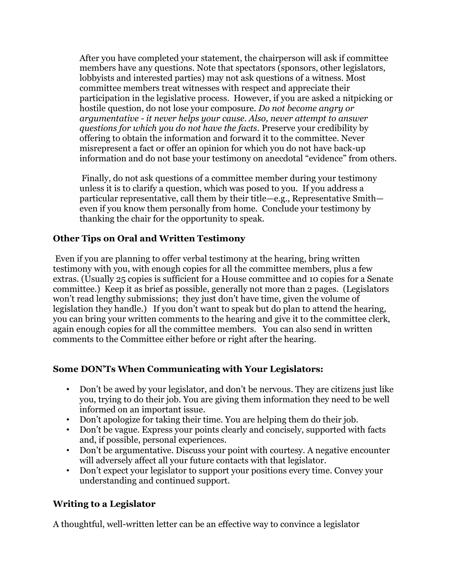After you have completed your statement, the chairperson will ask if committee members have any questions. Note that spectators (sponsors, other legislators, lobbyists and interested parties) may not ask questions of a witness. Most committee members treat witnesses with respect and appreciate their participation in the legislative process. However, if you are asked a nitpicking or hostile question, do not lose your composure. *Do not become angry or argumentative - it never helps your cause. Also, never attempt to answer questions for which you do not have the facts.* Preserve your credibility by offering to obtain the information and forward it to the committee. Never misrepresent a fact or offer an opinion for which you do not have back-up information and do not base your testimony on anecdotal "evidence" from others.

Finally, do not ask questions of a committee member during your testimony unless it is to clarify a question, which was posed to you. If you address a particular representative, call them by their title—e.g., Representative Smith even if you know them personally from home. Conclude your testimony by thanking the chair for the opportunity to speak.

## **Other Tips on Oral and Written Testimony**

Even if you are planning to offer verbal testimony at the hearing, bring written testimony with you, with enough copies for all the committee members, plus a few extras. (Usually 25 copies is sufficient for a House committee and 10 copies for a Senate committee.) Keep it as brief as possible, generally not more than 2 pages. (Legislators won't read lengthy submissions; they just don't have time, given the volume of legislation they handle.) If you don't want to speak but do plan to attend the hearing, you can bring your written comments to the hearing and give it to the committee clerk, again enough copies for all the committee members. You can also send in written comments to the Committee either before or right after the hearing.

### **Some DON'Ts When Communicating with Your Legislators:**

- Don't be awed by your legislator, and don't be nervous. They are citizens just like you, trying to do their job. You are giving them information they need to be well informed on an important issue.
- Don't apologize for taking their time. You are helping them do their job.
- Don't be vague. Express your points clearly and concisely, supported with facts and, if possible, personal experiences.
- Don't be argumentative. Discuss your point with courtesy. A negative encounter will adversely affect all your future contacts with that legislator.
- Don't expect your legislator to support your positions every time. Convey your understanding and continued support.

# **Writing to a Legislator**

A thoughtful, well-written letter can be an effective way to convince a legislator